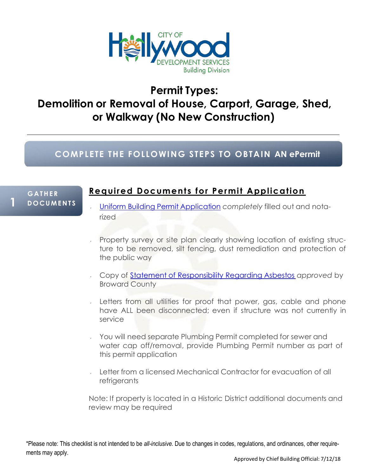

# **Permit Types: Demolition or Removal of House, Carport, Garage, Shed, or Walkway (No New Construction)**

### **COMPLETE THE FOL LOWING STEPS TO OBTAIN AN ePermit**

#### **G A THE R 1 <sup>D</sup> <sup>O</sup> CU <sup>M</sup> EN <sup>T</sup> <sup>S</sup>**

### **Required Document s for Permit Application**

- Uniform Building Permit [Application](http://fl-hollywood2.civicplus.com/DocumentCenter/View/4883) *completely* filled out and notarized
- Property survey or site plan clearly showing location of existing structure to be removed, silt fencing, dust remediation and protection of the public way
- Copy of Statement of [Responsibility](http://www.broward.org/ePermits/Pages/Default.aspx) Regarding Asbestos *approved* by Broward County
- Letters from all utilities for proof that power, gas, cable and phone have ALL been disconnected; even if structure was not currently in service
- You will need separate Plumbing Permit completed for sewer and water cap off/removal, provide Plumbing Permit number as part of this permit application
- Letter from a licensed Mechanical Contractor for evacuation of all **refrigerants**

Note: If property is located in a Historic District additional documents and review may be required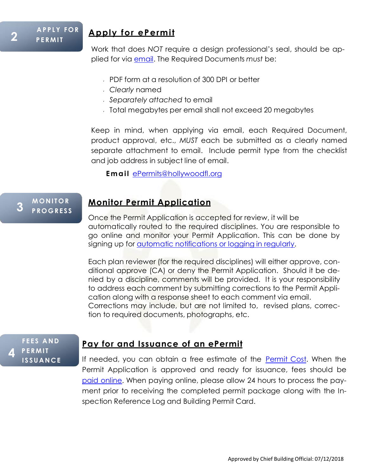### **Apply for ePermit**

Work that does *NOT* require a design professional's seal, should be applied for via [email.](mailto:ePermits@hollywoodfl.org) The Required Documents *must* be:

- **PDF form at a resolution of 300 DPI or better**
- *Clearly* named
- *Separately attached* to email
- Total megabytes per email shall not exceed 20 megabytes

Keep in mind, when applying via email, each Required Document, product approval, etc., *MUST* each be submitted as a clearly named separate attachment to email. Include permit type from the checklist and job address in subject line of email.

**Email [ePermits@hollywoodfl.org](mailto:ePermits@hollywoodfl.org)** 

#### **M O NI T O R 3 <sup>P</sup> RO <sup>G</sup> <sup>R</sup> <sup>E</sup> <sup>S</sup> <sup>S</sup>**

### **Monitor Permit Application**

Once the Permit Application is accepted for review, it will be automatically routed to the required disciplines. You are responsible to go online and monitor your Permit Application. This can be done by signing up for *automatic [notifications](http://apps.hollywoodfl.org/building/PermitStatus.aspx) or logging in regularly*.

Each plan reviewer (for the required disciplines) will either approve, conditional approve (CA) or deny the Permit Application. Should it be denied by a discipline, comments will be provided. It is your responsibility to address each comment by submitting corrections to the Permit Application along with a response sheet to each comment via email. Corrections may include, but are not limited to, revised plans, correction to required documents, photographs, etc.

**F E E S A N D 4 P E RMI T I S SUA NCE**

### **Pay for and Issuance of an ePermit**

If needed, you can obtain a free estimate of the [Permit](http://www.hollywoodfl.org/917/Permit-Cost-Estimator) Cost. When the Permit Application is approved and ready for issuance, fees should be [paid](http://apps.hollywoodfl.org/building/PermitStatus.aspx) on[line.](http://apps.hollywoodfl.org/building/PermitStatus.aspx) When paying online, please allow 24 hours to process the payment prior to receiving the completed permit package along with the Inspection Reference Log and Building Permit Card.